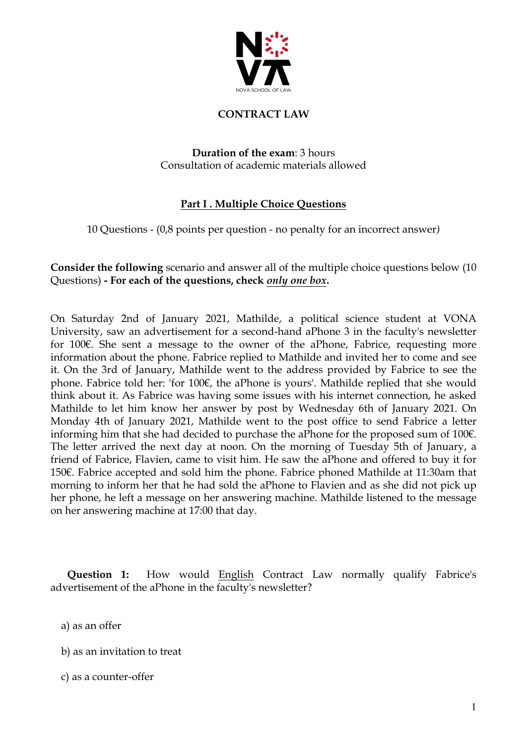

#### **CONTRACT LAW**

**Duration of the exam**: 3 hours Consultation of academic materials allowed

### **Part I . Multiple Choice Questions**

10 Questions - (0,8 points per question - no penalty for an incorrect answer*)*

**Consider the following** scenario and answer all of the multiple choice questions below (10 Questions) **- For each of the questions, check** *only one box***.**

On Saturday 2nd of January 2021, Mathilde, a political science student at VONA University, saw an advertisement for a second-hand aPhone 3 in the faculty's newsletter for 100€. She sent a message to the owner of the aPhone, Fabrice, requesting more information about the phone. Fabrice replied to Mathilde and invited her to come and see it. On the 3rd of January, Mathilde went to the address provided by Fabrice to see the phone. Fabrice told her: 'for 100€, the aPhone is yours'. Mathilde replied that she would think about it. As Fabrice was having some issues with his internet connection, he asked Mathilde to let him know her answer by post by Wednesday 6th of January 2021. On Monday 4th of January 2021, Mathilde went to the post office to send Fabrice a letter informing him that she had decided to purchase the aPhone for the proposed sum of 100€. The letter arrived the next day at noon. On the morning of Tuesday 5th of January, a friend of Fabrice, Flavien, came to visit him. He saw the aPhone and offered to buy it for 150€. Fabrice accepted and sold him the phone. Fabrice phoned Mathilde at 11:30am that morning to inform her that he had sold the aPhone to Flavien and as she did not pick up her phone, he left a message on her answering machine. Mathilde listened to the message on her answering machine at 17:00 that day.

 **Question 1:** How would English Contract Law normally qualify Fabrice's advertisement of the aPhone in the faculty's newsletter?

a) as an offer

b) as an invitation to treat

c) as a counter-offer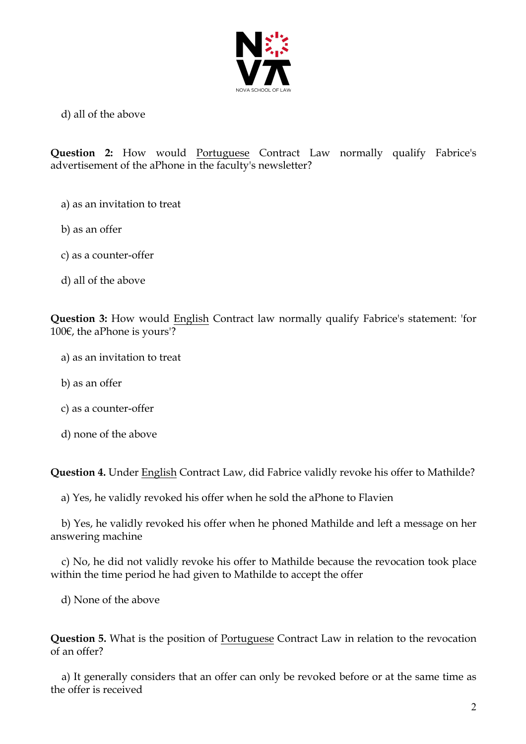

d) all of the above

**Question 2:** How would Portuguese Contract Law normally qualify Fabrice's advertisement of the aPhone in the faculty's newsletter?

- a) as an invitation to treat
- b) as an offer
- c) as a counter-offer
- d) all of the above

**Question 3:** How would English Contract law normally qualify Fabrice's statement: 'for 100€, the aPhone is yours'?

- a) as an invitation to treat
- b) as an offer
- c) as a counter-offer
- d) none of the above

**Question 4.** Under English Contract Law, did Fabrice validly revoke his offer to Mathilde?

a) Yes, he validly revoked his offer when he sold the aPhone to Flavien

 b) Yes, he validly revoked his offer when he phoned Mathilde and left a message on her answering machine

 c) No, he did not validly revoke his offer to Mathilde because the revocation took place within the time period he had given to Mathilde to accept the offer

d) None of the above

**Question 5.** What is the position of Portuguese Contract Law in relation to the revocation of an offer?

 a) It generally considers that an offer can only be revoked before or at the same time as the offer is received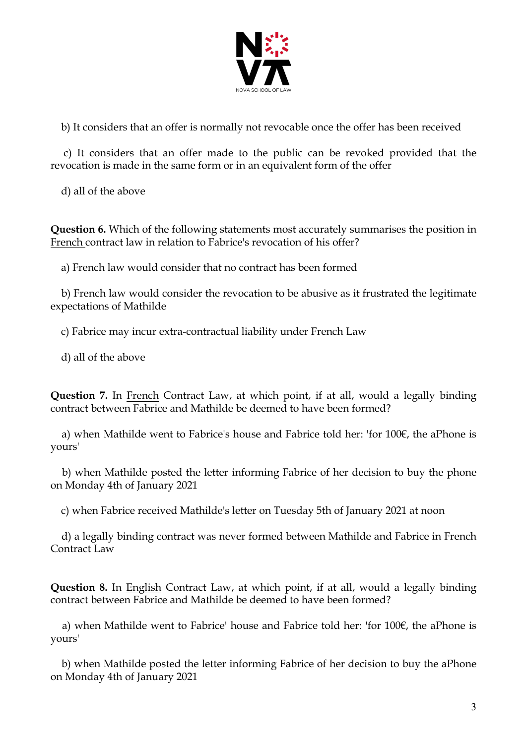

b) It considers that an offer is normally not revocable once the offer has been received

 c) It considers that an offer made to the public can be revoked provided that the revocation is made in the same form or in an equivalent form of the offer

d) all of the above

**Question 6.** Which of the following statements most accurately summarises the position in French contract law in relation to Fabrice's revocation of his offer?

a) French law would consider that no contract has been formed

 b) French law would consider the revocation to be abusive as it frustrated the legitimate expectations of Mathilde

c) Fabrice may incur extra-contractual liability under French Law

d) all of the above

**Question 7.** In French Contract Law, at which point, if at all, would a legally binding contract between Fabrice and Mathilde be deemed to have been formed?

 a) when Mathilde went to Fabrice's house and Fabrice told her: 'for 100€, the aPhone is yours'

 b) when Mathilde posted the letter informing Fabrice of her decision to buy the phone on Monday 4th of January 2021

c) when Fabrice received Mathilde's letter on Tuesday 5th of January 2021 at noon

 d) a legally binding contract was never formed between Mathilde and Fabrice in French Contract Law

**Question 8.** In English Contract Law, at which point, if at all, would a legally binding contract between Fabrice and Mathilde be deemed to have been formed?

 a) when Mathilde went to Fabrice' house and Fabrice told her: 'for 100€, the aPhone is yours'

 b) when Mathilde posted the letter informing Fabrice of her decision to buy the aPhone on Monday 4th of January 2021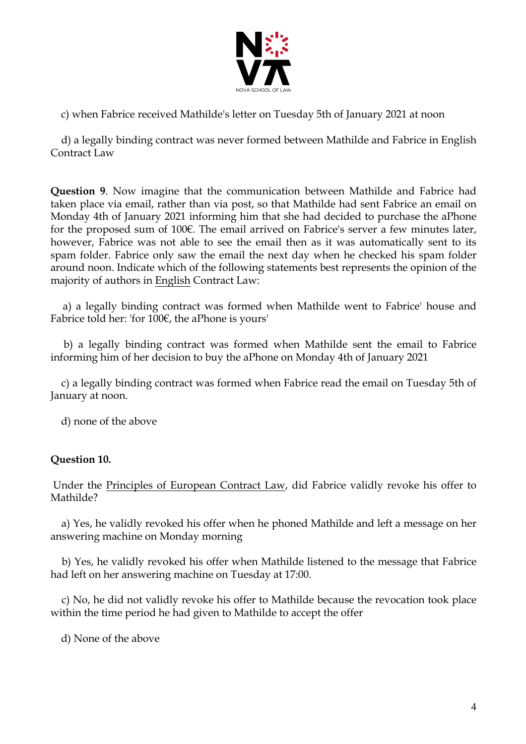

c) when Fabrice received Mathilde's letter on Tuesday 5th of January 2021 at noon

 d) a legally binding contract was never formed between Mathilde and Fabrice in English Contract Law

**Question 9**. Now imagine that the communication between Mathilde and Fabrice had taken place via email, rather than via post, so that Mathilde had sent Fabrice an email on Monday 4th of January 2021 informing him that she had decided to purchase the aPhone for the proposed sum of 100€. The email arrived on Fabrice's server a few minutes later, however, Fabrice was not able to see the email then as it was automatically sent to its spam folder. Fabrice only saw the email the next day when he checked his spam folder around noon. Indicate which of the following statements best represents the opinion of the majority of authors in English Contract Law:

 a) a legally binding contract was formed when Mathilde went to Fabrice' house and Fabrice told her: 'for 100€, the aPhone is yours'

 b) a legally binding contract was formed when Mathilde sent the email to Fabrice informing him of her decision to buy the aPhone on Monday 4th of January 2021

 c) a legally binding contract was formed when Fabrice read the email on Tuesday 5th of January at noon.

d) none of the above

### **Question 10.**

Under the Principles of European Contract Law, did Fabrice validly revoke his offer to Mathilde?

 a) Yes, he validly revoked his offer when he phoned Mathilde and left a message on her answering machine on Monday morning

 b) Yes, he validly revoked his offer when Mathilde listened to the message that Fabrice had left on her answering machine on Tuesday at 17:00.

 c) No, he did not validly revoke his offer to Mathilde because the revocation took place within the time period he had given to Mathilde to accept the offer

d) None of the above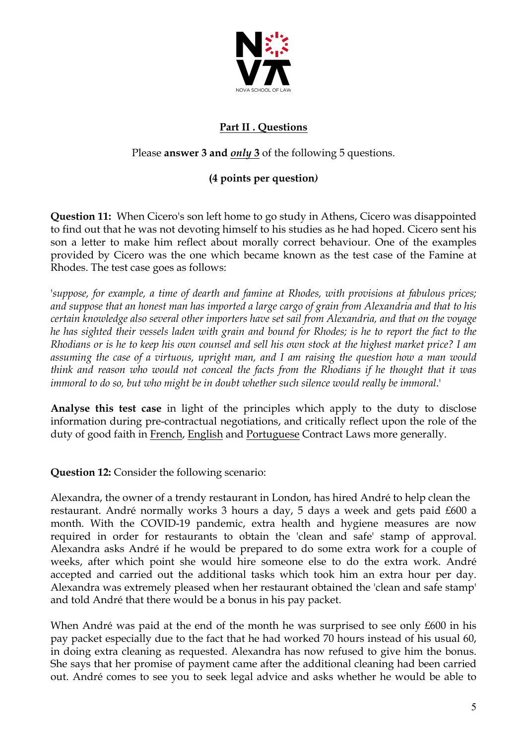

# **Part II . Questions**

## Please **answer 3 and** *only* **3** of the following 5 questions.

### **(4 points per question***)*

**Question 11:** When Cicero's son left home to go study in Athens, Cicero was disappointed to find out that he was not devoting himself to his studies as he had hoped. Cicero sent his son a letter to make him reflect about morally correct behaviour. One of the examples provided by Cicero was the one which became known as the test case of the Famine at Rhodes. The test case goes as follows:

'*suppose, for example, a time of dearth and famine at Rhodes, with provisions at fabulous prices; and suppose that an honest man has imported a large cargo of grain from Alexandria and that to his certain knowledge also several other importers have set sail from Alexandria, and that on the voyage he has sighted their vessels laden with grain and bound for Rhodes; is he to report the fact to the Rhodians or is he to keep his own counsel and sell his own stock at the highest market price? I am assuming the case of a virtuous, upright man, and I am raising the question how a man would think and reason who would not conceal the facts from the Rhodians if he thought that it was immoral to do so, but who might be in doubt whether such silence would really be immoral*.'

**Analyse this test case** in light of the principles which apply to the duty to disclose information during pre-contractual negotiations, and critically reflect upon the role of the duty of good faith in French, English and Portuguese Contract Laws more generally.

**Question 12:** Consider the following scenario:

Alexandra, the owner of a trendy restaurant in London, has hired André to help clean the restaurant. André normally works 3 hours a day, 5 days a week and gets paid £600 a month. With the COVID-19 pandemic, extra health and hygiene measures are now required in order for restaurants to obtain the 'clean and safe' stamp of approval. Alexandra asks André if he would be prepared to do some extra work for a couple of weeks, after which point she would hire someone else to do the extra work. André accepted and carried out the additional tasks which took him an extra hour per day. Alexandra was extremely pleased when her restaurant obtained the 'clean and safe stamp' and told André that there would be a bonus in his pay packet.

When André was paid at the end of the month he was surprised to see only £600 in his pay packet especially due to the fact that he had worked 70 hours instead of his usual 60, in doing extra cleaning as requested. Alexandra has now refused to give him the bonus. She says that her promise of payment came after the additional cleaning had been carried out. André comes to see you to seek legal advice and asks whether he would be able to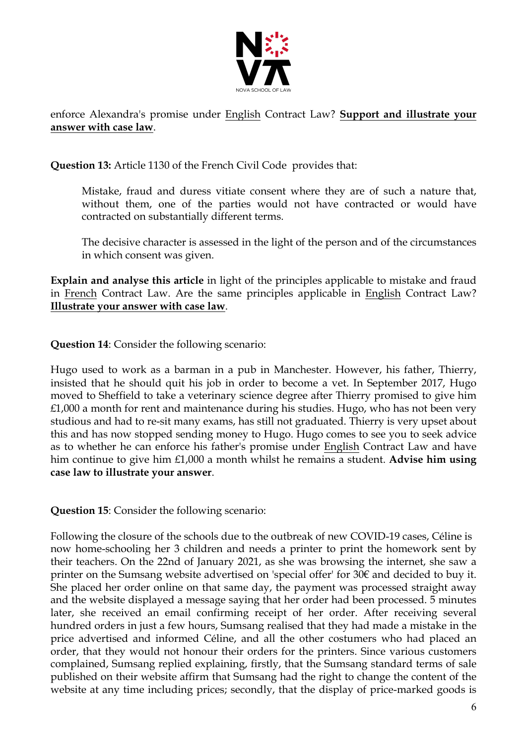

### enforce Alexandra's promise under English Contract Law? **Support and illustrate your answer with case law**.

**Question 13:** Article 1130 of the French Civil Code provides that:

Mistake, fraud and duress vitiate consent where they are of such a nature that, without them, one of the parties would not have contracted or would have contracted on substantially different terms.

The decisive character is assessed in the light of the person and of the circumstances in which consent was given.

**Explain and analyse this article** in light of the principles applicable to mistake and fraud in French Contract Law. Are the same principles applicable in English Contract Law? **Illustrate your answer with case law**.

**Question 14**: Consider the following scenario:

Hugo used to work as a barman in a pub in Manchester. However, his father, Thierry, insisted that he should quit his job in order to become a vet. In September 2017, Hugo moved to Sheffield to take a veterinary science degree after Thierry promised to give him  $£1,000$  a month for rent and maintenance during his studies. Hugo, who has not been very studious and had to re-sit many exams, has still not graduated. Thierry is very upset about this and has now stopped sending money to Hugo. Hugo comes to see you to seek advice as to whether he can enforce his father's promise under English Contract Law and have him continue to give him £1,000 a month whilst he remains a student. **Advise him using case law to illustrate your answer**.

**Question 15**: Consider the following scenario:

Following the closure of the schools due to the outbreak of new COVID-19 cases, Céline is now home-schooling her 3 children and needs a printer to print the homework sent by their teachers. On the 22nd of January 2021, as she was browsing the internet, she saw a printer on the Sumsang website advertised on 'special offer' for 30€ and decided to buy it. She placed her order online on that same day, the payment was processed straight away and the website displayed a message saying that her order had been processed. 5 minutes later, she received an email confirming receipt of her order. After receiving several hundred orders in just a few hours, Sumsang realised that they had made a mistake in the price advertised and informed Céline, and all the other costumers who had placed an order, that they would not honour their orders for the printers. Since various customers complained, Sumsang replied explaining, firstly, that the Sumsang standard terms of sale published on their website affirm that Sumsang had the right to change the content of the website at any time including prices; secondly, that the display of price-marked goods is